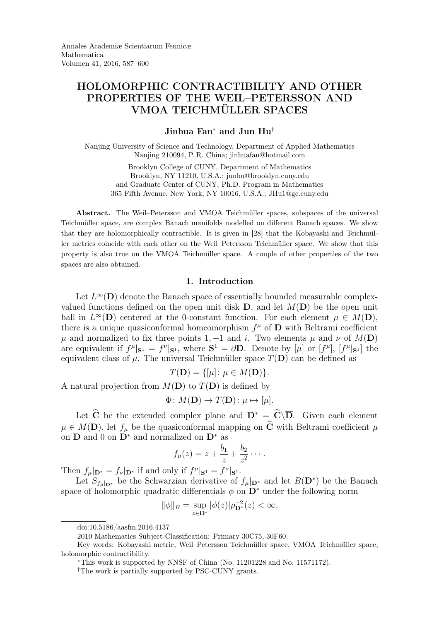# HOLOMORPHIC CONTRACTIBILITY AND OTHER PROPERTIES OF THE WEIL–PETERSSON AND VMOA TEICHMÜLLER SPACES

## Jinhua Fan<sup>∗</sup> and Jun Hu†

Nanjing University of Science and Technology, Department of Applied Mathematics Nanjing 210094, P. R. China; jinhuafan@hotmail.com

> Brooklyn College of CUNY, Department of Mathematics Brooklyn, NY 11210, U.S.A.; junhu@brooklyn.cuny.edu and Graduate Center of CUNY, Ph.D. Program in Mathematics 365 Fifth Avenue, New York, NY 10016, U.S.A.; JHu1@gc.cuny.edu

Abstract. The Weil–Petersson and VMOA Teichmüller spaces, subspaces of the universal Teichmüller space, are complex Banach manifolds modelled on different Banach spaces. We show that they are holomorphically contractible. It is given in [28] that the Kobayashi and Teichmüller metrics coincide with each other on the Weil–Petersson Teichmüller space. We show that this property is also true on the VMOA Teichmüller space. A couple of other properties of the two spaces are also obtained.

### 1. Introduction

Let  $L^{\infty}(\mathbf{D})$  denote the Banach space of essentially bounded measurable complexvalued functions defined on the open unit disk  $D$ , and let  $M(D)$  be the open unit ball in  $L^{\infty}(\mathbf{D})$  centered at the 0-constant function. For each element  $\mu \in M(\mathbf{D}),$ there is a unique quasiconformal homeomorphism  $f^{\mu}$  of **D** with Beltrami coefficient  $\mu$  and normalized to fix three points 1, -1 and i. Two elements  $\mu$  and  $\nu$  of  $M(\mathbf{D})$ are equivalent if  $f^{\mu}|_{\mathbf{S}^1} = f^{\nu}|_{\mathbf{S}^1}$ , where  $\mathbf{S}^1 = \partial \mathbf{D}$ . Denote by  $[\mu]$  or  $[f^{\mu}]$ ,  $[f^{\mu}|_{\mathbf{S}^1}]$  the equivalent class of  $\mu$ . The universal Teichmüller space  $T(D)$  can be defined as

$$
T(\mathbf{D}) = \{ [\mu] \colon \mu \in M(\mathbf{D}) \}.
$$

A natural projection from  $M(\mathbf{D})$  to  $T(\mathbf{D})$  is defined by

$$
\Phi \colon M(\mathbf{D}) \to T(\mathbf{D}) \colon \mu \mapsto [\mu].
$$

Let  $\hat{C}$  be the extended complex plane and  $D^* = \hat{C}\backslash\overline{D}$ . Given each element  $\mu \in M(\mathbf{D})$ , let  $f_{\mu}$  be the quasiconformal mapping on  $\widehat{\mathbf{C}}$  with Beltrami coefficient  $\mu$ on  $\mathbf{D}$  and 0 on  $\mathbf{D}^*$  and normalized on  $\mathbf{D}^*$  as

$$
f_{\mu}(z)=z+\frac{b_1}{z}+\frac{b_2}{z^2}\cdots.
$$

Then  $f_{\mu}|_{\mathbf{D}^*} = f_{\nu}|_{\mathbf{D}^*}$  if and only if  $f^{\mu}|_{\mathbf{S}^1} = f^{\nu}|_{\mathbf{S}^1}$ .

Let  $S_{f_{\mu}|_{\mathbf{D}^*}}$  be the Schwarzian derivative of  $f_{\mu}|_{\mathbf{D}^*}$  and let  $B(\mathbf{D}^*)$  be the Banach space of holomorphic quadratic differentials  $\phi$  on  $\mathbf{D}^*$  under the following norm

$$
\|\phi\|_{B} = \sup_{z \in \mathbf{D}^*} |\phi(z)| \rho_{\mathbf{D}^*}^{-2}(z) < \infty,
$$

doi:10.5186/aasfm.2016.4137

<sup>2010</sup> Mathematics Subject Classification: Primary 30C75, 30F60.

Key words: Kobayashi metric, Weil–Petersson Teichmüller space, VMOA Teichmüller space, holomorphic contractibility.

<sup>∗</sup>This work is supported by NNSF of China (No. 11201228 and No. 11571172).

<sup>†</sup>The work is partially supported by PSC-CUNY grants.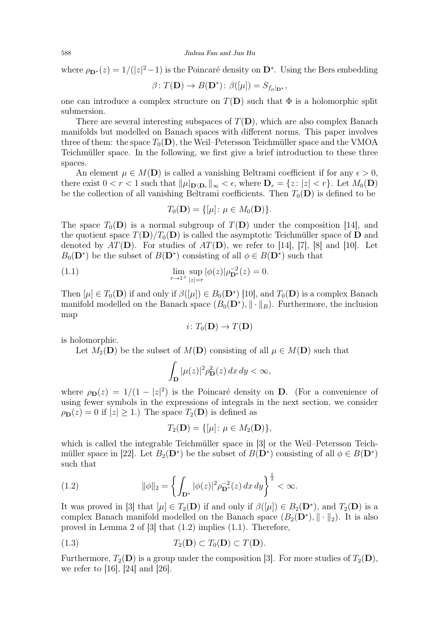where  $\rho_{\mathbf{D}^*}(z) = 1/(|z|^2 - 1)$  is the Poincaré density on  $\mathbf{D}^*$ . Using the Bers embedding

$$
\beta \colon T(\mathbf{D}) \to B(\mathbf{D}^*) \colon \beta([\mu]) = S_{f_{\mu}|\mathbf{D}^*},
$$

one can introduce a complex structure on  $T(D)$  such that  $\Phi$  is a holomorphic split submersion.

There are several interesting subspaces of  $T(D)$ , which are also complex Banach manifolds but modelled on Banach spaces with different norms. This paper involves three of them: the space  $T_0(\mathbf{D})$ , the Weil–Petersson Teichmüller space and the VMOA Teichmüller space. In the following, we first give a brief introduction to these three spaces.

An element  $\mu \in M(\mathbf{D})$  is called a vanishing Beltrami coefficient if for any  $\epsilon > 0$ , there exist  $0 < r < 1$  such that  $\|\mu\|_{\mathbf{D}\setminus\mathbf{D}_r}\|_{\infty} < \epsilon$ , where  $\mathbf{D}_r = \{z : |z| < r\}$ . Let  $M_0(\mathbf{D})$ be the collection of all vanishing Beltrami coefficients. Then  $T_0(\mathbf{D})$  is defined to be

$$
T_0(\mathbf{D}) = \{ [\mu] \colon \mu \in M_0(\mathbf{D}) \}.
$$

The space  $T_0(\mathbf{D})$  is a normal subgroup of  $T(\mathbf{D})$  under the composition [14], and the quotient space  $T(D)/T_0(D)$  is called the asymptotic Teichmüller space of D and denoted by  $AT(\mathbf{D})$ . For studies of  $AT(\mathbf{D})$ , we refer to [14], [7], [8] and [10]. Let  $B_0(\mathbf{D}^*)$  be the subset of  $B(\mathbf{D}^*)$  consisting of all  $\phi \in B(\mathbf{D}^*)$  such that

(1.1) 
$$
\lim_{r \to 1^+} \sup_{|z|=r} |\phi(z)| \rho_{\mathbf{D}^*}^{-2}(z) = 0.
$$

Then  $[\mu] \in T_0(\mathbf{D})$  if and only if  $\beta([\mu]) \in B_0(\mathbf{D}^*)$  [10], and  $T_0(\mathbf{D})$  is a complex Banach manifold modelled on the Banach space  $(B_0(\mathbf{D}^*), \|\cdot\|_B)$ . Furthermore, the inclusion map

$$
i\colon T_0(\mathbf{D})\to T(\mathbf{D})
$$

is holomorphic.

Let  $M_2(D)$  be the subset of  $M(D)$  consisting of all  $\mu \in M(D)$  such that

$$
\int_{\mathbf{D}} |\mu(z)|^2 \rho_{\mathbf{D}}^2(z) \, dx \, dy < \infty,
$$

where  $\rho_{\mathbf{D}}(z) = 1/(1 - |z|^2)$  is the Poincaré density on **D**. (For a convenience of using fewer symbols in the expressions of integrals in the next section, we consider  $\rho_{\mathbf{D}}(z) = 0$  if  $|z| \geq 1$ .) The space  $T_2(\mathbf{D})$  is defined as

$$
T_2(D) = \{ [\mu] \colon \mu \in M_2(D) \},
$$

which is called the integrable Teichmüller space in [3] or the Weil–Petersson Teichmüller space in [22]. Let  $B_2(\mathbf{D}^*)$  be the subset of  $B(\mathbf{D}^*)$  consisting of all  $\phi \in B(\mathbf{D}^*)$ such that

(1.2) 
$$
\|\phi\|_2 = \left\{ \int_{\mathbf{D}^*} |\phi(z)|^2 \rho_{\mathbf{D}^*}^{-2}(z) \, dx \, dy \right\}^{\frac{1}{2}} < \infty.
$$

It was proved in [3] that  $[\mu] \in T_2(D)$  if and only if  $\beta([\mu]) \in B_2(D^*)$ , and  $T_2(D)$  is a complex Banach manifold modelled on the Banach space  $(B_2(D^*), \| \cdot \|_2)$ . It is also proved in Lemma 2 of [3] that (1.2) implies (1.1). Therefore,

(1.3) 
$$
T_2(\mathbf{D}) \subset T_0(\mathbf{D}) \subset T(\mathbf{D}).
$$

Furthermore,  $T_2(D)$  is a group under the composition [3]. For more studies of  $T_2(D)$ , we refer to [16], [24] and [26].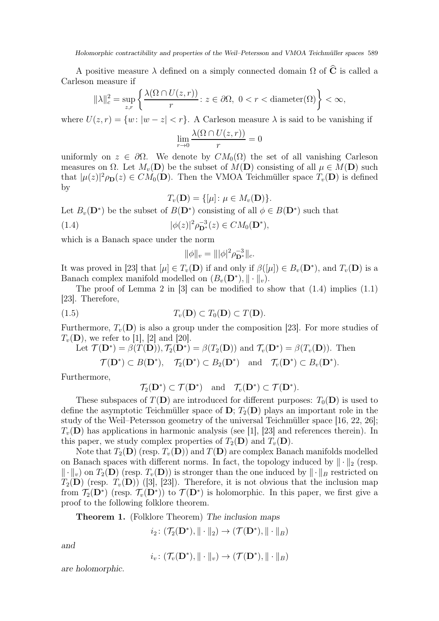Holomorphic contractibility and properties of the Weil–Petersson and VMOA Teichmüller spaces 589

A positive measure  $\lambda$  defined on a simply connected domain  $\Omega$  of  $\widehat{C}$  is called a Carleson measure if

$$
\|\lambda\|_{c}^{2} = \sup_{z,r} \left\{ \frac{\lambda(\Omega \cap U(z,r))}{r} : z \in \partial \Omega, \ 0 < r < \text{diameter}(\Omega) \right\} < \infty,
$$

where  $U(z, r) = \{w : |w - z| < r\}$ . A Carleson measure  $\lambda$  is said to be vanishing if

$$
\lim_{r \to 0} \frac{\lambda(\Omega \cap U(z, r))}{r} = 0
$$

uniformly on  $z \in \partial \Omega$ . We denote by  $CM_0(\Omega)$  the set of all vanishing Carleson measures on  $\Omega$ . Let  $M_n(\mathbf{D})$  be the subset of  $M(\mathbf{D})$  consisting of all  $\mu \in M(\mathbf{D})$  such that  $|\mu(z)|^2 \rho_{\mathbf{D}}(z) \in CM_0(\mathbf{D})$ . Then the VMOA Teichmüller space  $T_v(\mathbf{D})$  is defined by

$$
T_v(\mathbf{D}) = \{ [\mu] \colon \mu \in M_v(\mathbf{D}) \}.
$$

Let  $B_v(\mathbf{D}^*)$  be the subset of  $B(\mathbf{D}^*)$  consisting of all  $\phi \in B(\mathbf{D}^*)$  such that

(1.4) 
$$
|\phi(z)|^2 \rho_{\mathbf{D}^*}^{-3}(z) \in CM_0(\mathbf{D}^*),
$$

which is a Banach space under the norm

$$
\|\phi\|_{v} = \||\phi|^2 \rho_{\mathbf{D}^*}^{-3}\|_{c}.
$$

It was proved in [23] that  $[\mu] \in T_v(\mathbf{D})$  if and only if  $\beta([\mu]) \in B_v(\mathbf{D}^*)$ , and  $T_v(\mathbf{D})$  is a Banach complex manifold modelled on  $(B_v(\mathbf{D}^*), \|\cdot\|_v)$ .

The proof of Lemma 2 in  $[3]$  can be modified to show that  $(1.4)$  implies  $(1.1)$ [23]. Therefore,

(1.5) 
$$
T_v(\mathbf{D}) \subset T_0(\mathbf{D}) \subset T(\mathbf{D}).
$$

Furthermore,  $T_v(\mathbf{D})$  is also a group under the composition [23]. For more studies of  $T_v(\mathbf{D})$ , we refer to [1], [2] and [20].

Let 
$$
\mathcal{T}(\mathbf{D}^*) = \beta(T(\mathbf{D})), T_2(\mathbf{D}^*) = \beta(T_2(\mathbf{D}))
$$
 and  $\mathcal{T}_v(\mathbf{D}^*) = \beta(T_v(\mathbf{D})).$  Then

$$
\mathcal{T}(\mathbf{D}^*) \subset B(\mathbf{D}^*), \quad \mathcal{T}_2(\mathbf{D}^*) \subset B_2(\mathbf{D}^*) \quad \text{and} \quad \mathcal{T}_v(\mathbf{D}^*) \subset B_v(\mathbf{D}^*).
$$

Furthermore,

$$
\mathcal{T}_2(\mathbf{D}^*) \subset \mathcal{T}(\mathbf{D}^*) \quad \text{and} \quad \mathcal{T}_v(\mathbf{D}^*) \subset \mathcal{T}(\mathbf{D}^*).
$$

These subspaces of  $T(\mathbf{D})$  are introduced for different purposes:  $T_0(\mathbf{D})$  is used to define the asymptotic Teichmüller space of  $\mathbf{D}$ ;  $T_2(\mathbf{D})$  plays an important role in the study of the Weil–Petersson geometry of the universal Teichmüller space [16, 22, 26];  $T_v(\mathbf{D})$  has applications in harmonic analysis (see [1], [23] and references therein). In this paper, we study complex properties of  $T_2(D)$  and  $T_v(D)$ .

Note that  $T_2(D)$  (resp.  $T_v(D)$ ) and  $T(D)$  are complex Banach manifolds modelled on Banach spaces with different norms. In fact, the topology induced by  $\|\cdot\|_2$  (resp.  $\Vert \cdot \Vert_{v}$  on  $T_2(\mathbf{D})$  (resp.  $T_v(\mathbf{D})$ ) is stronger than the one induced by  $\Vert \cdot \Vert_B$  restricted on  $T_2(D)$  (resp.  $T_v(D)$ ) ([3], [23]). Therefore, it is not obvious that the inclusion map from  $\mathcal{T}_2(\mathbf{D}^*)$  (resp.  $\mathcal{T}_v(\mathbf{D}^*)$ ) to  $\mathcal{T}(\mathbf{D}^*)$  is holomorphic. In this paper, we first give a proof to the following folklore theorem.

Theorem 1. (Folklore Theorem) The inclusion maps

 $i_2\colon (\mathcal{T}_2(\mathbf{D}^*), \|\cdot\|_2) \to (\mathcal{T}(\mathbf{D}^*), \|\cdot\|_B)$ 

and

$$
i_v\colon (\mathcal{T}_v(\mathbf{D}^*), \|\cdot\|_v) \to (\mathcal{T}(\mathbf{D}^*), \|\cdot\|_B)
$$

are holomorphic.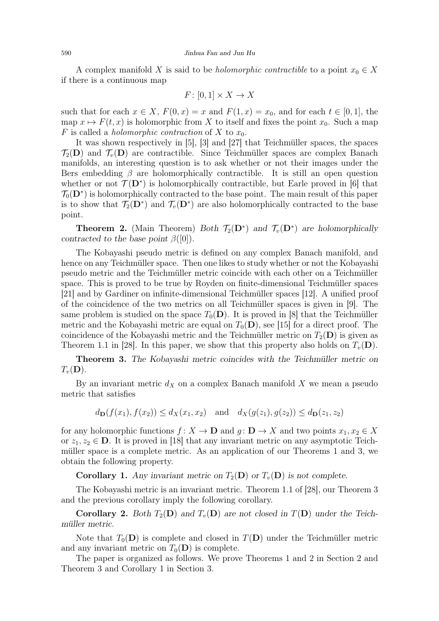A complex manifold X is said to be *holomorphic contractible* to a point  $x_0 \in X$ if there is a continuous map

$$
F \colon [0,1] \times X \to X
$$

such that for each  $x \in X$ ,  $F(0, x) = x$  and  $F(1, x) = x_0$ , and for each  $t \in [0, 1]$ , the map  $x \mapsto F(t, x)$  is holomorphic from X to itself and fixes the point  $x_0$ . Such a map F is called a *holomorphic contraction* of X to  $x_0$ .

It was shown respectively in [5], [3] and [27] that Teichmüller spaces, the spaces  $\mathcal{T}_2(D)$  and  $\mathcal{T}_v(D)$  are contractible. Since Teichmüller spaces are complex Banach manifolds, an interesting question is to ask whether or not their images under the Bers embedding  $\beta$  are holomorphically contractible. It is still an open question whether or not  $\mathcal{T}(\mathbf{D}^*)$  is holomorphically contractible, but Earle proved in [6] that  $\mathcal{T}_0(\mathbf{D}^*)$  is holomorphically contracted to the base point. The main result of this paper is to show that  $\mathcal{T}_2(\mathbf{D}^*)$  and  $\mathcal{T}_v(\mathbf{D}^*)$  are also holomorphically contracted to the base point.

**Theorem 2.** (Main Theorem) Both  $\mathcal{T}_2(\mathbf{D}^*)$  and  $\mathcal{T}_v(\mathbf{D}^*)$  are holomorphically contracted to the base point  $\beta([0])$ .

The Kobayashi pseudo metric is defined on any complex Banach manifold, and hence on any Teichmüller space. Then one likes to study whether or not the Kobayashi pseudo metric and the Teichmüller metric coincide with each other on a Teichmüller space. This is proved to be true by Royden on finite-dimensional Teichmüller spaces [21] and by Gardiner on infinite-dimensional Teichmüller spaces [12]. A unified proof of the coincidence of the two metrics on all Teichmüller spaces is given in [9]. The same problem is studied on the space  $T_0(\mathbf{D})$ . It is proved in [8] that the Teichmüller metric and the Kobayashi metric are equal on  $T_0(\mathbf{D})$ , see [15] for a direct proof. The coincidence of the Kobayashi metric and the Teichmüller metric on  $T_2(D)$  is given as Theorem 1.1 in [28]. In this paper, we show that this property also holds on  $T_v(\mathbf{D})$ .

Theorem 3. The Kobayashi metric coincides with the Teichmüller metric on  $T_v(\mathbf{D})$ .

By an invariant metric  $d_X$  on a complex Banach manifold X we mean a pseudo metric that satisfies

$$
d_{\mathbf{D}}(f(x_1), f(x_2)) \le d_X(x_1, x_2)
$$
 and  $d_X(g(z_1), g(z_2)) \le d_{\mathbf{D}}(z_1, z_2)$ 

for any holomorphic functions  $f: X \to \mathbf{D}$  and  $g: \mathbf{D} \to X$  and two points  $x_1, x_2 \in X$ or  $z_1, z_2 \in \mathbf{D}$ . It is proved in [18] that any invariant metric on any asymptotic Teichmüller space is a complete metric. As an application of our Theorems 1 and 3, we obtain the following property.

**Corollary 1.** Any invariant metric on  $T_2(D)$  or  $T_v(D)$  is not complete.

The Kobayashi metric is an invariant metric. Theorem 1.1 of [28], our Theorem 3 and the previous corollary imply the following corollary.

**Corollary 2.** Both  $T_2(D)$  and  $T_v(D)$  are not closed in  $T(D)$  under the Teichmüller metric.

Note that  $T_0(D)$  is complete and closed in  $T(D)$  under the Teichmüller metric and any invariant metric on  $T_0(\mathbf{D})$  is complete.

The paper is organized as follows. We prove Theorems 1 and 2 in Section 2 and Theorem 3 and Corollary 1 in Section 3.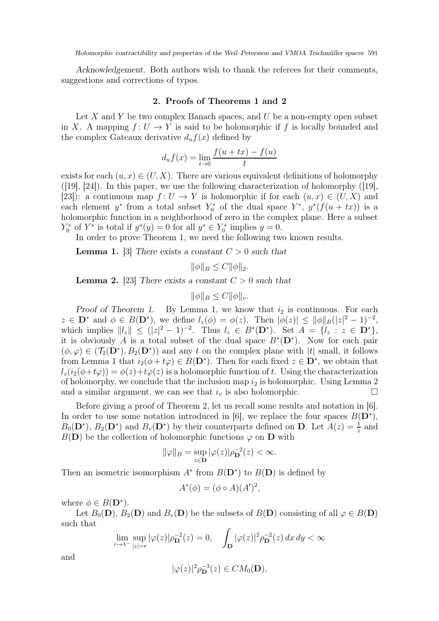Acknowledgement. Both authors wish to thank the referees for their comments, suggestions and corrections of typos.

## 2. Proofs of Theorems 1 and 2

Let  $X$  and  $Y$  be two complex Banach spaces, and  $U$  be a non-empty open subset in X. A mapping  $f: U \to Y$  is said to be holomorphic if f is locally bounded and the complex Gateaux derivative  $d_u f(x)$  defined by

$$
d_u f(x) = \lim_{t \to 0} \frac{f(u + tx) - f(u)}{t}
$$

exists for each  $(u, x) \in (U, X)$ . There are various equivalent definitions of holomorphy  $(19, 24)$ . In this paper, we use the following characterization of holomorphy  $(19, 19)$ [23]): a continuous map  $f: U \to Y$  is holomorphic if for each  $(u, x) \in (U, X)$  and each element  $y^*$  from a total subset  $Y_0^*$  of the dual space  $Y^*$ ,  $y^*(f(u + tx))$  is a holomorphic function in a neighborhood of zero in the complex plane. Here a subset  $Y_0^*$  of  $Y^*$  is total if  $y^*(y) = 0$  for all  $y^* \in Y_0^*$  implies  $y = 0$ .

In order to prove Theorem 1, we need the following two known results.

**Lemma 1.** [3] There exists a constant  $C > 0$  such that

$$
\|\phi\|_B \le C \|\phi\|_2.
$$

**Lemma 2.** [23] There exists a constant  $C > 0$  such that

$$
\|\phi\|_B \le C \|\phi\|_v.
$$

Proof of Theorem 1. By Lemma 1, we know that  $i_2$  is continuous. For each  $z \in \mathbf{D}^*$  and  $\phi \in B(\mathbf{D}^*)$ , we define  $l_z(\phi) = \phi(z)$ . Then  $|\phi(z)| \leq ||\phi||_B(|z|^2 - 1)^{-2}$ , which implies  $||l_z|| \leq (|z|^2 - 1)^{-2}$ . Thus  $l_z \in B^*(\mathbf{D}^*)$ . Set  $A = \{l_z : z \in \mathbf{D}^*\},$ it is obviously A is a total subset of the dual space  $B^*(D^*)$ . Now for each pair  $(\phi, \varphi) \in (\mathcal{T}_2(\mathbf{D}^*), B_2(\mathbf{D}^*))$  and any t on the complex plane with |t| small, it follows from Lemma 1 that  $i_2(\phi + t\varphi) \in B(\mathbf{D}^*)$ . Then for each fixed  $z \in \mathbf{D}^*$ , we obtain that  $l_z(i_2(\phi+t\varphi))=\phi(z)+t\varphi(z)$  is a holomorphic function of t. Using the characterization of holomorphy, we conclude that the inclusion map  $i_2$  is holomorphic. Using Lemma 2 and a similar argument, we can see that  $i_v$  is also holomorphic.  $\Box$ 

Before giving a proof of Theorem 2, let us recall some results and notation in [6]. In order to use some notation introduced in [6], we replace the four spaces  $B(D^*)$ ,  $B_0(\mathbf{D}^*)$ ,  $B_2(\mathbf{D}^*)$  and  $B_v(\mathbf{D}^*)$  by their counterparts defined on **D**. Let  $A(z) = \frac{1}{z}$  and  $B(D)$  be the collection of holomorphic functions  $\varphi$  on D with

$$
\|\varphi\|_B = \sup_{z \in \mathbf{D}} |\varphi(z)| \rho_{\mathbf{D}}^{-2}(z) < \infty.
$$

Then an isometric isomorphism  $A^*$  from  $B(\mathbf{D}^*)$  to  $B(\mathbf{D})$  is defined by

$$
A^*(\phi) = (\phi \circ A)(A')^2,
$$

where  $\phi \in B(\mathbf{D}^*)$ .

Let  $B_0(\mathbf{D})$ ,  $B_2(\mathbf{D})$  and  $B_v(\mathbf{D})$  be the subsets of  $B(\mathbf{D})$  consisting of all  $\varphi \in B(\mathbf{D})$ such that

$$
\lim_{r \to 1^{-}} \sup_{|z|=r} |\varphi(z)| \rho_{\mathbf{D}}^{-2}(z) = 0, \quad \int_{\mathbf{D}} |\varphi(z)|^{2} \rho_{\mathbf{D}}^{-2}(z) dx dy < \infty
$$

and

$$
|\varphi(z)|^2 \rho_{\mathbf{D}}^{-3}(z) \in CM_0(\mathbf{D}),
$$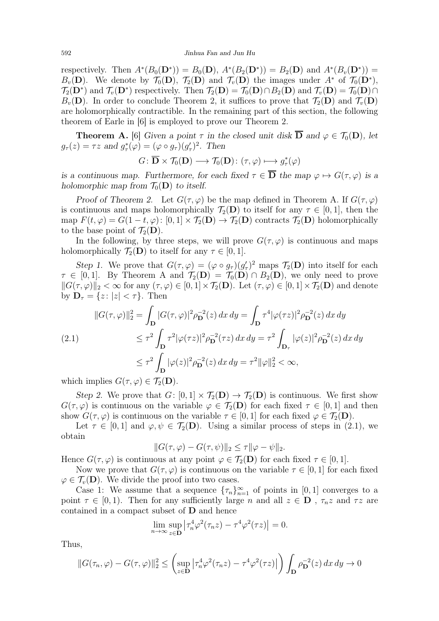respectively. Then  $A^*(B_0(D^*)) = B_0(D)$ ,  $A^*(B_2(D^*)) = B_2(D)$  and  $A^*(B_v(D^*)) =$  $B_v(\mathbf{D})$ . We denote by  $\mathcal{T}_0(\mathbf{D})$ ,  $\mathcal{T}_2(\mathbf{D})$  and  $\mathcal{T}_v(\mathbf{D})$  the images under  $A^*$  of  $\mathcal{T}_0(\mathbf{D}^*)$ ,  $\mathcal{T}_2(\mathbf{D}^*)$  and  $\mathcal{T}_v(\mathbf{D}^*)$  respectively. Then  $\mathcal{T}_2(\mathbf{D}) = \mathcal{T}_0(\mathbf{D}) \cap B_2(\mathbf{D})$  and  $\mathcal{T}_v(\mathbf{D}) = \mathcal{T}_0(\mathbf{D}) \cap B_2(\mathbf{D})$  $B_v(\mathbf{D})$ . In order to conclude Theorem 2, it suffices to prove that  $\mathcal{T}_2(\mathbf{D})$  and  $\mathcal{T}_v(\mathbf{D})$ are holomorphically contractible. In the remaining part of this section, the following theorem of Earle in [6] is employed to prove our Theorem 2.

**Theorem A.** [6] Given a point  $\tau$  in the closed unit disk  $\overline{D}$  and  $\varphi \in \mathcal{T}_0(D)$ , let  $g_{\tau}(z) = \tau z$  and  $g_{\tau}^*(\varphi) = (\varphi \circ g_{\tau})(g_{\tau}')^2$ . Then

$$
G\colon\overline{\mathbf{D}}\times\mathcal{T}_0(\mathbf{D})\longrightarrow\mathcal{T}_0(\mathbf{D})\colon(\tau,\varphi)\longmapsto g^*_\tau(\varphi)
$$

is a continuous map. Furthermore, for each fixed  $\tau \in \overline{D}$  the map  $\varphi \mapsto G(\tau, \varphi)$  is a holomorphic map from  $\mathcal{T}_0(\mathbf{D})$  to itself.

Proof of Theorem 2. Let  $G(\tau,\varphi)$  be the map defined in Theorem A. If  $G(\tau,\varphi)$ is continuous and maps holomorphically  $\mathcal{T}_2(\mathbf{D})$  to itself for any  $\tau \in [0,1]$ , then the map  $F(t, \varphi) = G(1-t, \varphi) : [0, 1] \times T_2(\mathbf{D}) \to T_2(\mathbf{D})$  contracts  $T_2(\mathbf{D})$  holomorphically to the base point of  $\mathcal{T}_2(D)$ .

In the following, by three steps, we will prove  $G(\tau,\varphi)$  is continuous and maps holomorphically  $\mathcal{T}_2(\mathbf{D})$  to itself for any  $\tau \in [0,1]$ .

Step 1. We prove that  $G(\tau,\varphi) = (\varphi \circ g_{\tau})(g_{\tau}')^2$  maps  $\mathcal{T}_2(\mathbf{D})$  into itself for each  $\tau \in [0, 1]$ . By Theorem A and  $\mathcal{T}_2(D) = \mathcal{T}_0(D) \cap B_2(D)$ , we only need to prove  $||G(\tau, \varphi)||_2 < \infty$  for any  $(\tau, \varphi) \in [0, 1] \times T_2(\mathbf{D})$ . Let  $(\tau, \varphi) \in [0, 1] \times T_2(\mathbf{D})$  and denote by  $\mathbf{D}_{\tau} = \{z : |z| < \tau\}$ . Then

$$
||G(\tau,\varphi)||_2^2 = \int_{\mathbf{D}} |G(\tau,\varphi)|^2 \rho_{\mathbf{D}}^{-2}(z) dx dy = \int_{\mathbf{D}} \tau^4 |\varphi(\tau z)|^2 \rho_{\mathbf{D}}^{-2}(z) dx dy
$$
  
(2.1)  

$$
\leq \tau^2 \int_{\mathbf{D}} \tau^2 |\varphi(\tau z)|^2 \rho_{\mathbf{D}}^{-2}(\tau z) dx dy = \tau^2 \int_{\mathbf{D}_{\tau}} |\varphi(z)|^2 \rho_{\mathbf{D}}^{-2}(z) dx dy
$$
  

$$
\leq \tau^2 \int_{\mathbf{D}} |\varphi(z)|^2 \rho_{\mathbf{D}}^{-2}(z) dx dy = \tau^2 ||\varphi||_2^2 < \infty,
$$

which implies  $G(\tau, \varphi) \in \mathcal{T}_2(\mathbf{D})$ .

Step 2. We prove that  $G: [0,1] \times \mathcal{T}_2(D) \to \mathcal{T}_2(D)$  is continuous. We first show  $G(\tau,\varphi)$  is continuous on the variable  $\varphi \in \mathcal{T}_2(\mathbf{D})$  for each fixed  $\tau \in [0,1]$  and then show  $G(\tau, \varphi)$  is continuous on the variable  $\tau \in [0, 1]$  for each fixed  $\varphi \in \mathcal{T}_2(\mathbf{D})$ .

Let  $\tau \in [0,1]$  and  $\varphi, \psi \in \mathcal{T}_2(\mathbf{D})$ . Using a similar process of steps in (2.1), we obtain

$$
||G(\tau,\varphi) - G(\tau,\psi)||_2 \leq \tau ||\varphi - \psi||_2.
$$

Hence  $G(\tau, \varphi)$  is continuous at any point  $\varphi \in \mathcal{T}_2(\mathbf{D})$  for each fixed  $\tau \in [0, 1]$ .

Now we prove that  $G(\tau,\varphi)$  is continuous on the variable  $\tau \in [0,1]$  for each fixed  $\varphi \in \mathcal{T}_v(\mathbf{D})$ . We divide the proof into two cases.

Case 1: We assume that a sequence  $\{\tau_n\}_{n=1}^{\infty}$  of points in [0, 1] converges to a point  $\tau \in [0, 1)$ . Then for any sufficiently large n and all  $z \in \mathbf{D}$ ,  $\tau_n z$  and  $\tau z$  are contained in a compact subset of D and hence

$$
\lim_{n \to \infty} \sup_{z \in \mathbf{D}} \left| \tau_n^4 \varphi^2(\tau_n z) - \tau^4 \varphi^2(\tau z) \right| = 0.
$$

Thus,

$$
||G(\tau_n, \varphi) - G(\tau, \varphi)||_2^2 \le \left(\sup_{z \in \mathbf{D}} \left|\tau_n^4 \varphi^2(\tau_n z) - \tau^4 \varphi^2(\tau z)\right|\right) \int_{\mathbf{D}} \rho_{\mathbf{D}}^{-2}(z) \, dx \, dy \to 0
$$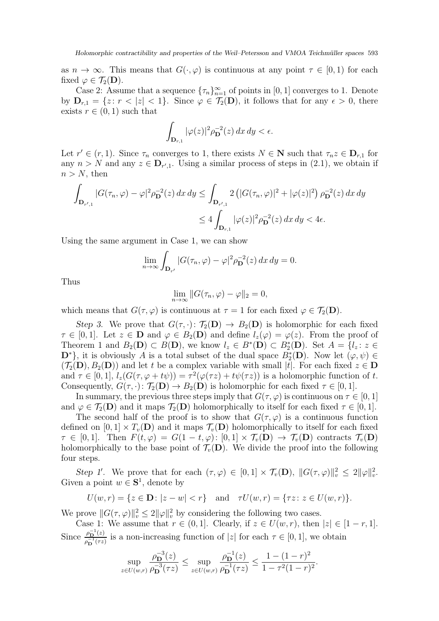as  $n \to \infty$ . This means that  $G(\cdot, \varphi)$  is continuous at any point  $\tau \in [0, 1)$  for each fixed  $\varphi \in \mathcal{T}_2(\mathbf{D})$ .

Case 2: Assume that a sequence  $\{\tau_n\}_{n=1}^{\infty}$  of points in [0, 1] converges to 1. Denote by  $D_{r,1} = \{z : r < |z| < 1\}$ . Since  $\varphi \in \mathcal{T}_2(\mathbf{D})$ , it follows that for any  $\epsilon > 0$ , there exists  $r \in (0, 1)$  such that

$$
\int_{\mathbf{D}_{r,1}} |\varphi(z)|^2 \rho_{\mathbf{D}}^{-2}(z) dx dy < \epsilon.
$$

Let  $r' \in (r, 1)$ . Since  $\tau_n$  converges to 1, there exists  $N \in \mathbb{N}$  such that  $\tau_n z \in \mathbb{D}_{r,1}$  for any  $n > N$  and any  $z \in \mathbf{D}_{r',1}$ . Using a similar process of steps in (2.1), we obtain if  $n > N$ , then

$$
\int_{\mathbf{D}_{r',1}} |G(\tau_n, \varphi) - \varphi|^2 \rho_{\mathbf{D}}^{-2}(z) \, dx \, dy \le \int_{\mathbf{D}_{r',1}} 2 \left( |G(\tau_n, \varphi)|^2 + |\varphi(z)|^2 \right) \rho_{\mathbf{D}}^{-2}(z) \, dx \, dy
$$
  

$$
\le 4 \int_{\mathbf{D}_{r,1}} |\varphi(z)|^2 \rho_{\mathbf{D}}^{-2}(z) \, dx \, dy < 4\epsilon.
$$

Using the same argument in Case 1, we can show

$$
\lim_{n \to \infty} \int_{\mathbf{D}_{r'}} |G(\tau_n, \varphi) - \varphi|^2 \rho_{\mathbf{D}}^{-2}(z) \, dx \, dy = 0.
$$

Thus

$$
\lim_{n \to \infty} ||G(\tau_n, \varphi) - \varphi||_2 = 0,
$$

which means that  $G(\tau, \varphi)$  is continuous at  $\tau = 1$  for each fixed  $\varphi \in \mathcal{T}_2(\mathbf{D})$ .

Step 3. We prove that  $G(\tau, \cdot): \mathcal{T}_2(\mathbf{D}) \to B_2(\mathbf{D})$  is holomorphic for each fixed  $\tau \in [0,1]$ . Let  $z \in \mathbf{D}$  and  $\varphi \in B_2(\mathbf{D})$  and define  $l_z(\varphi) = \varphi(z)$ . From the proof of Theorem 1 and  $B_2(D) \subset B(D)$ , we know  $l_z \in B^*(D) \subset B_2^*(D)$ . Set  $A = \{l_z : z \in$  $\mathbf{D}^*\}$ , it is obviously A is a total subset of the dual space  $B_2^*(\mathbf{D})$ . Now let  $(\varphi, \psi) \in$  $(\mathcal{T}_2(\mathbf{D}), B_2(\mathbf{D}))$  and let t be a complex variable with small |t|. For each fixed  $z \in \mathbf{D}$ and  $\tau \in [0,1], l_z(G(\tau, \varphi + t\psi)) = \tau^2(\varphi(\tau z) + t\psi(\tau z))$  is a holomorphic function of t. Consequently,  $G(\tau, \cdot): \mathcal{T}_2(\mathbf{D}) \to B_2(\mathbf{D})$  is holomorphic for each fixed  $\tau \in [0, 1]$ .

In summary, the previous three steps imply that  $G(\tau, \varphi)$  is continuous on  $\tau \in [0, 1]$ and  $\varphi \in \mathcal{T}_2(\mathbf{D})$  and it maps  $\mathcal{T}_2(\mathbf{D})$  holomorphically to itself for each fixed  $\tau \in [0,1]$ .

The second half of the proof is to show that  $G(\tau,\varphi)$  is a continuous function defined on  $[0, 1] \times T_v(\mathbf{D})$  and it maps  $\mathcal{T}_v(\mathbf{D})$  holomorphically to itself for each fixed  $\tau \in [0, 1]$ . Then  $F(t, \varphi) = G(1 - t, \varphi) : [0, 1] \times \mathcal{T}_v(\mathbf{D}) \to \mathcal{T}_v(\mathbf{D})$  contracts  $\mathcal{T}_v(\mathbf{D})$ holomorphically to the base point of  $\mathcal{T}_v(D)$ . We divide the proof into the following four steps.

Step 1'. We prove that for each  $(\tau, \varphi) \in [0, 1] \times \mathcal{T}_v(\mathbf{D}), ||G(\tau, \varphi)||_v^2 \leq 2||\varphi||_v^2$ . Given a point  $w \in S^1$ , denote by

$$
U(w,r) = \{ z \in \mathbf{D} \colon |z - w| < r \} \quad \text{and} \quad \tau U(w,r) = \{ \tau z \colon z \in U(w,r) \}.
$$

We prove  $||G(\tau, \varphi)||_{v}^{2} \leq 2||\varphi||_{v}^{2}$  by considering the following two cases.

Case 1: We assume that  $r \in (0, 1]$ . Clearly, if  $z \in U(w, r)$ , then  $|z| \in [1 - r, 1]$ . Since  $\frac{\rho_{\mathbf{D}}^{-1}(z)}{e^{-1}(\tau z)}$  $\frac{\rho_{\mathbf{D}}(z)}{\rho_{\mathbf{D}}^{-1}(\tau z)}$  is a non-increasing function of |z| for each  $\tau \in [0,1]$ , we obtain

$$
\sup_{z \in U(w,r)} \frac{\rho_{\mathbf{D}}^{-3}(z)}{\rho_{\mathbf{D}}^{-3}(\tau z)} \le \sup_{z \in U(w,r)} \frac{\rho_{\mathbf{D}}^{-1}(z)}{\rho_{\mathbf{D}}^{-1}(\tau z)} \le \frac{1 - (1 - r)^2}{1 - \tau^2 (1 - r)^2}.
$$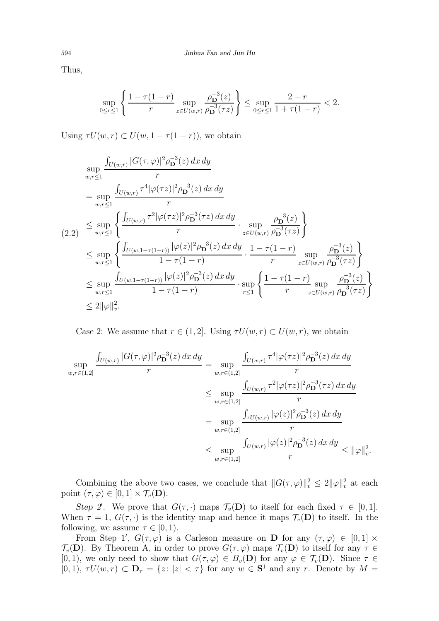Thus,

$$
\sup_{0\leq r\leq 1}\left\{\frac{1-\tau(1-r)}{r}\sup_{z\in U(w,r)}\frac{\rho_{\mathbf{D}}^{-3}(z)}{\rho_{\mathbf{D}}^{-3}(\tau z)}\right\}\leq \sup_{0\leq r\leq 1}\frac{2-r}{1+\tau(1-r)}<2.
$$

Using  $\tau U(w, r) \subset U(w, 1 - \tau(1 - r))$ , we obtain

$$
\sup_{w,r\leq 1} \frac{\int_{U(w,r)} |G(\tau,\varphi)|^2 \rho_{\mathbf{D}}^{-3}(z) dx dy}{r}
$$
\n  
\n
$$
= \sup_{w,r\leq 1} \frac{\int_{U(w,r)} \tau^4 |\varphi(\tau z)|^2 \rho_{\mathbf{D}}^{-3}(z) dx dy}{r}
$$
\n  
\n
$$
\leq \sup_{w,r\leq 1} \left\{ \frac{\int_{U(w,r)} \tau^2 |\varphi(\tau z)|^2 \rho_{\mathbf{D}}^{-3}(\tau z) dx dy}{r} \cdot \sup_{z\in U(w,r)} \frac{\rho_{\mathbf{D}}^{-3}(z)}{\rho_{\mathbf{D}}^{-3}(\tau z)} \right\}
$$
\n  
\n
$$
\leq \sup_{w,r\leq 1} \left\{ \frac{\int_{U(w,1-\tau(1-r))} |\varphi(z)|^2 \rho_{\mathbf{D}}^{-3}(z) dx dy}{1-\tau(1-r)} \cdot \frac{1-\tau(1-r)}{r} \sup_{z\in U(w,r)} \frac{\rho_{\mathbf{D}}^{-3}(z)}{\rho_{\mathbf{D}}^{-3}(\tau z)} \right\}
$$
\n  
\n
$$
\leq \sup_{w,r\leq 1} \frac{\int_{U(w,1-\tau(1-r))} |\varphi(z)|^2 \rho_{\mathbf{D}}^{-3}(z) dx dy}{1-\tau(1-r)} \cdot \sup_{r\leq 1} \left\{ \frac{1-\tau(1-r)}{r} \sup_{z\in U(w,r)} \frac{\rho_{\mathbf{D}}^{-3}(z)}{\rho_{\mathbf{D}}^{-3}(\tau z)} \right\}
$$
\n  
\n
$$
\leq 2||\varphi||_v^2.
$$

Case 2: We assume that  $r \in (1, 2]$ . Using  $\tau U(w, r) \subset U(w, r)$ , we obtain

$$
\sup_{w,r\in(1,2]} \frac{\int_{U(w,r)} |G(\tau,\varphi)|^2 \rho_{\mathbf{D}}^{-3}(z) dx dy}{r} = \sup_{w,r\in(1,2]} \frac{\int_{U(w,r)} \tau^4 |\varphi(\tau z)|^2 \rho_{\mathbf{D}}^{-3}(z) dx dy}{r}
$$
  

$$
\leq \sup_{w,r\in(1,2]} \frac{\int_{U(w,r)} \tau^2 |\varphi(\tau z)|^2 \rho_{\mathbf{D}}^{-3}(\tau z) dx dy}{r}
$$
  

$$
= \sup_{w,r\in(1,2]} \frac{\int_{\tau U(w,r)} |\varphi(z)|^2 \rho_{\mathbf{D}}^{-3}(z) dx dy}{r}
$$
  

$$
\leq \sup_{w,r\in(1,2]} \frac{\int_{U(w,r)} |\varphi(z)|^2 \rho_{\mathbf{D}}^{-3}(z) dx dy}{r} \leq ||\varphi||_v^2.
$$

Combining the above two cases, we conclude that  $||G(\tau,\varphi)||_v^2 \leq 2||\varphi||_v^2$  at each point  $(\tau, \varphi) \in [0, 1] \times \mathcal{T}_v(\mathbf{D}).$ 

Step 2'. We prove that  $G(\tau, \cdot)$  maps  $\mathcal{T}_v(\mathbf{D})$  to itself for each fixed  $\tau \in [0, 1]$ . When  $\tau = 1$ ,  $G(\tau, \cdot)$  is the identity map and hence it maps  $\mathcal{T}_{\nu}(\mathbf{D})$  to itself. In the following, we assume  $\tau \in [0, 1)$ .

From Step 1',  $G(\tau,\varphi)$  is a Carleson measure on **D** for any  $(\tau,\varphi) \in [0,1] \times$  $\mathcal{T}_{v}(\mathbf{D})$ . By Theorem A, in order to prove  $G(\tau,\varphi)$  maps  $\mathcal{T}_{v}(\mathbf{D})$  to itself for any  $\tau \in$  $[0, 1)$ , we only need to show that  $G(\tau, \varphi) \in B_v(\mathbf{D})$  for any  $\varphi \in \mathcal{T}_v(\mathbf{D})$ . Since  $\tau \in$  $[0,1), \tau U(w,r) \subset \mathbf{D}_{\tau} = \{z : |z| < \tau\}$  for any  $w \in \mathbf{S}^1$  and any r. Denote by  $M =$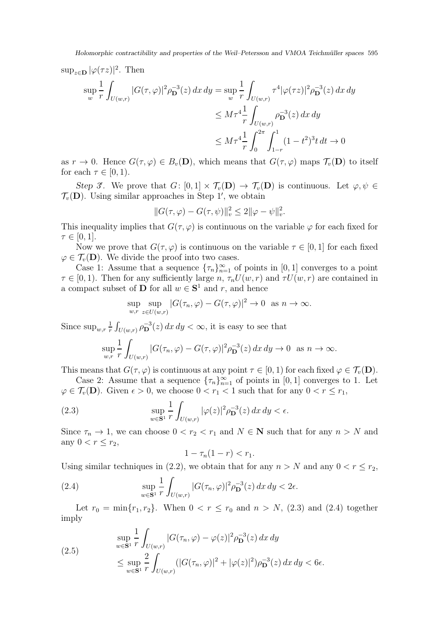$$
\sup_{w} \frac{1}{r} \int_{U(w,r)} |G(\tau,\varphi)|^2 \rho_{\mathbf{D}}^{-3}(z) dx dy = \sup_{w} \frac{1}{r} \int_{U(w,r)} \tau^4 |\varphi(\tau z)|^2 \rho_{\mathbf{D}}^{-3}(z) dx dy
$$
  

$$
\leq M \tau^4 \frac{1}{r} \int_{U(w,r)} \rho_{\mathbf{D}}^{-3}(z) dx dy
$$
  

$$
\leq M \tau^4 \frac{1}{r} \int_{0}^{2\pi} \int_{1-r}^{1} (1-t^2)^3 t dt \to 0
$$

as  $r \to 0$ . Hence  $G(\tau, \varphi) \in B_v(\mathbf{D})$ , which means that  $G(\tau, \varphi)$  maps  $\mathcal{T}_v(\mathbf{D})$  to itself for each  $\tau \in [0, 1)$ .

Step 3'. We prove that  $G: [0,1] \times \mathcal{T}_{v}(\mathbf{D}) \to \mathcal{T}_{v}(\mathbf{D})$  is continuous. Let  $\varphi, \psi \in$  $\mathcal{T}_{v}(\mathbf{D})$ . Using similar approaches in Step 1', we obtain

$$
||G(\tau,\varphi) - G(\tau,\psi)||_{v}^{2} \le 2||\varphi - \psi||_{v}^{2}.
$$

This inequality implies that  $G(\tau, \varphi)$  is continuous on the variable  $\varphi$  for each fixed for  $\tau \in [0,1].$ 

Now we prove that  $G(\tau, \varphi)$  is continuous on the variable  $\tau \in [0, 1]$  for each fixed  $\varphi \in \mathcal{T}_{v}(\mathbf{D})$ . We divide the proof into two cases.

Case 1: Assume that a sequence  ${\lbrace \tau_n \rbrace}_{n=1}^{\infty}$  of points in [0, 1] converges to a point  $\tau \in [0, 1)$ . Then for any sufficiently large n,  $\tau_n U(w, r)$  and  $\tau U(w, r)$  are contained in a compact subset of **D** for all  $w \in S^1$  and r, and hence

$$
\sup_{w,r} \sup_{z \in U(w,r)} |G(\tau_n, \varphi) - G(\tau, \varphi)|^2 \to 0 \text{ as } n \to \infty.
$$

Since  $\sup_{w,r}\frac{1}{r}$  $\frac{1}{r} \int_{U(w,r)} \rho_{\mathbf{D}}^{-3}(z) dx dy < \infty$ , it is easy to see that

$$
\sup_{w,r} \frac{1}{r} \int_{U(w,r)} |G(\tau_n, \varphi) - G(\tau, \varphi)|^2 \rho_{\mathbf{D}}^{-3}(z) dx dy \to 0 \text{ as } n \to \infty.
$$

This means that  $G(\tau, \varphi)$  is continuous at any point  $\tau \in [0, 1)$  for each fixed  $\varphi \in \mathcal{T}_{\nu}(\mathbf{D})$ .

Case 2: Assume that a sequence  ${\lbrace \tau_n \rbrace}_{n=1}^{\infty}$  of points in [0, 1] converges to 1. Let  $\varphi \in \mathcal{T}_v(\mathbf{D})$ . Given  $\epsilon > 0$ , we choose  $0 < r_1 < 1$  such that for any  $0 < r \leq r_1$ ,

(2.3) 
$$
\sup_{w \in \mathbf{S}^1} \frac{1}{r} \int_{U(w,r)} |\varphi(z)|^2 \rho_{\mathbf{D}}^{-3}(z) dx dy < \epsilon.
$$

Since  $\tau_n \to 1$ , we can choose  $0 < r_2 < r_1$  and  $N \in \mathbb{N}$  such that for any  $n > N$  and any  $0 < r \leq r_2$ ,

$$
1 - \tau_n(1 - r) < r_1.
$$

Using similar techniques in (2.2), we obtain that for any  $n > N$  and any  $0 < r \le r_2$ ,

(2.4) 
$$
\sup_{w \in \mathbf{S}^1} \frac{1}{r} \int_{U(w,r)} |G(\tau_n, \varphi)|^2 \rho_{\mathbf{D}}^{-3}(z) dx dy < 2\epsilon.
$$

Let  $r_0 = \min\{r_1, r_2\}$ . When  $0 < r \leq r_0$  and  $n > N$ , (2.3) and (2.4) together imply

(2.5) 
$$
\sup_{w \in \mathbf{S}^1} \frac{1}{r} \int_{U(w,r)} |G(\tau_n, \varphi) - \varphi(z)|^2 \rho_{\mathbf{D}}^{-3}(z) dx dy \n\leq \sup_{w \in \mathbf{S}^1} \frac{2}{r} \int_{U(w,r)} (|G(\tau_n, \varphi)|^2 + |\varphi(z)|^2) \rho_{\mathbf{D}}^{-3}(z) dx dy < 6\epsilon.
$$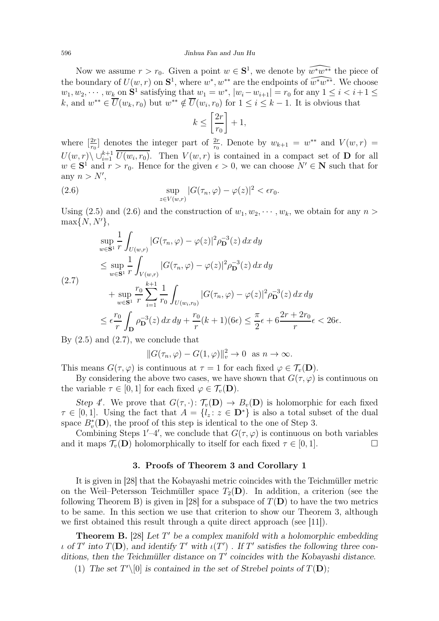Now we assume  $r > r_0$ . Given a point  $w \in \mathbf{S}^1$ , we denote by  $\widehat{w^*w^{**}}$  the piece of the boundary of  $U(w, r)$  on  $S^1$ , where  $w^*, w^{**}$  are the endpoints of  $\widehat{w^*w^{**}}$ . We choose  $w_1, w_2, \cdots, w_k$  on  $S^1$  satisfying that  $w_1 = w^*$ ,  $|w_i - w_{i+1}| = r_0$  for any  $1 \le i < i+1 \le k$ k, and  $w^{**} \in \overline{U}(w_k, r_0)$  but  $w^{**} \notin \overline{U}(w_i, r_0)$  for  $1 \leq i \leq k-1$ . It is obvious that

$$
k \le \left[\frac{2r}{r_0}\right] + 1,
$$

where  $\left[\frac{2r}{r_0}\right]$  $\frac{2r}{r_0}$  denotes the integer part of  $\frac{2r}{r_0}$ . Denote by  $w_{k+1} = w^{**}$  and  $V(w,r) =$  $U(w,r) \setminus \bigcup_{i=1}^{k+1} \overline{U(w_i,r_0)}$ . Then  $V(w,r)$  is contained in a compact set of **D** for all  $w \in S^1$  and  $r > r_0$ . Hence for the given  $\epsilon > 0$ , we can choose  $N' \in \mathbb{N}$  such that for any  $n > N'$ ,

(2.6) 
$$
\sup_{z \in V(w,r)} |G(\tau_n, \varphi) - \varphi(z)|^2 < \epsilon r_0.
$$

Using (2.5) and (2.6) and the construction of  $w_1, w_2, \dots, w_k$ , we obtain for any  $n >$  $\max\{N, N'\},\$ 

$$
\sup_{w \in \mathbf{S}^1} \frac{1}{r} \int_{U(w,r)} |G(\tau_n, \varphi) - \varphi(z)|^2 \rho_{\mathbf{D}}^{-3}(z) dx dy
$$
\n
$$
\leq \sup_{w \in \mathbf{S}^1} \frac{1}{r} \int_{V(w,r)} |G(\tau_n, \varphi) - \varphi(z)|^2 \rho_{\mathbf{D}}^{-3}(z) dx dy
$$
\n(2.7)\n
$$
+ \sup_{w \in \mathbf{S}^1} \frac{r_0}{r} \sum_{i=1}^{k+1} \frac{1}{r_0} \int_{U(w_i, r_0)} |G(\tau_n, \varphi) - \varphi(z)|^2 \rho_{\mathbf{D}}^{-3}(z) dx dy
$$
\n
$$
\leq \epsilon \frac{r_0}{r} \int_{\mathbf{D}} \rho_{\mathbf{D}}^{-3}(z) dx dy + \frac{r_0}{r} (k+1)(6\epsilon) \leq \frac{\pi}{2} \epsilon + 6 \frac{2r + 2r_0}{r} \epsilon < 26\epsilon.
$$

By  $(2.5)$  and  $(2.7)$ , we conclude that

$$
||G(\tau_n, \varphi) - G(1, \varphi)||_v^2 \to 0 \text{ as } n \to \infty.
$$

This means  $G(\tau, \varphi)$  is continuous at  $\tau = 1$  for each fixed  $\varphi \in \mathcal{T}_v(\mathbf{D})$ .

By considering the above two cases, we have shown that  $G(\tau, \varphi)$  is continuous on the variable  $\tau \in [0, 1]$  for each fixed  $\varphi \in \mathcal{T}_{\nu}(\mathbf{D})$ .

Step 4'. We prove that  $G(\tau, \cdot) \colon \mathcal{T}_v(\mathbf{D}) \to B_v(\mathbf{D})$  is holomorphic for each fixed  $\tau \in [0,1]$ . Using the fact that  $A = \{l_z : z \in \mathbf{D}^*\}$  is also a total subset of the dual space  $B_v^*(\mathbf{D})$ , the proof of this step is identical to the one of Step 3.

Combining Steps  $1'-4'$ , we conclude that  $G(\tau,\varphi)$  is continuous on both variables and it maps  $\mathcal{T}_v(\mathbf{D})$  holomorphically to itself for each fixed  $\tau \in [0, 1]$ .

#### 3. Proofs of Theorem 3 and Corollary 1

It is given in [28] that the Kobayashi metric coincides with the Teichmüller metric on the Weil–Petersson Teichmüller space  $T_2(D)$ . In addition, a criterion (see the following Theorem B) is given in [28] for a subspace of  $T(D)$  to have the two metrics to be same. In this section we use that criterion to show our Theorem 3, although we first obtained this result through a quite direct approach (see [11]).

**Theorem B.** [28] Let  $T'$  be a complex manifold with a holomorphic embedding  $\iota$  of  $T'$  into  $T(\mathbf{D})$ , and identify  $T'$  with  $\iota(T')$  . If  $T'$  satisfies the following three conditions, then the Teichmüller distance on T' coincides with the Kobayashi distance.

(1) The set  $T' \setminus [0]$  is contained in the set of Strebel points of  $T(D)$ ;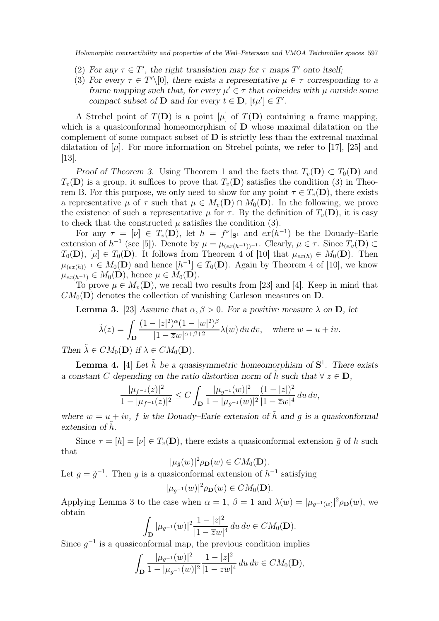Holomorphic contractibility and properties of the Weil–Petersson and VMOA Teichmüller spaces 597

- (2) For any  $\tau \in T'$ , the right translation map for  $\tau$  maps  $T'$  onto itself;
- (3) For every  $\tau \in T' \setminus [0]$ , there exists a representative  $\mu \in \tau$  corresponding to a frame mapping such that, for every  $\mu' \in \tau$  that coincides with  $\mu$  outside some compact subset of **D** and for every  $t \in D$ ,  $[t\mu'] \in T'$ .

A Strebel point of  $T(D)$  is a point  $[\mu]$  of  $T(D)$  containing a frame mapping, which is a quasiconformal homeomorphism of  $\bf{D}$  whose maximal dilatation on the complement of some compact subset of  $\bf{D}$  is strictly less than the extremal maximal dilatation of  $[\mu]$ . For more information on Strebel points, we refer to [17], [25] and [13].

Proof of Theorem 3. Using Theorem 1 and the facts that  $T_v(\mathbf{D}) \subset T_0(\mathbf{D})$  and  $T_v(\mathbf{D})$  is a group, it suffices to prove that  $T_v(\mathbf{D})$  satisfies the condition (3) in Theorem B. For this purpose, we only need to show for any point  $\tau \in T_n(\mathbf{D})$ , there exists a representative  $\mu$  of  $\tau$  such that  $\mu \in M_{\nu}(\mathbf{D}) \cap M_0(\mathbf{D})$ . In the following, we prove the existence of such a representative  $\mu$  for  $\tau$ . By the definition of  $T_v(\mathbf{D})$ , it is easy to check that the constructed  $\mu$  satisfies the condition (3).

For any  $\tau = [\nu] \in T_v(D)$ , let  $h = f^{\nu} | s^{\nu}$  and  $ex(h^{-1})$  be the Douady-Earle extension of  $h^{-1}$  (see [5]). Denote by  $\mu = \mu_{(ex(h^{-1}))^{-1}}$ . Clearly,  $\mu \in \tau$ . Since  $T_v(\mathbf{D}) \subset$  $T_0(\mathbf{D}), |\mu| \in T_0(\mathbf{D})$ . It follows from Theorem 4 of [10] that  $\mu_{ex(h)} \in M_0(\mathbf{D})$ . Then  $\mu_{(ex(h))^{-1}} \in M_0(\mathbf{D})$  and hence  $[h^{-1}] \in T_0(\mathbf{D})$ . Again by Theorem 4 of [10], we know  $\mu_{ex(h^{-1})} \in M_0(\mathbf{D}),$  hence  $\mu \in M_0(\mathbf{D}).$ 

To prove  $\mu \in M_v(\mathbf{D})$ , we recall two results from [23] and [4]. Keep in mind that  $CM_0(D)$  denotes the collection of vanishing Carleson measures on D.

**Lemma 3.** [23] Assume that  $\alpha, \beta > 0$ . For a positive measure  $\lambda$  on **D**, let

$$
\tilde{\lambda}(z) = \int_{\mathbf{D}} \frac{(1 - |z|^2)^{\alpha} (1 - |w|^2)^{\beta}}{|1 - \overline{z}w|^{\alpha + \beta + 2}} \lambda(w) du dv, \quad \text{where } w = u + iv.
$$

Then  $\tilde{\lambda} \in CM_0(\mathbf{D})$  if  $\lambda \in CM_0(\mathbf{D})$ .

**Lemma 4.** [4] Let  $\tilde{h}$  be a quasisymmetric homeomorphism of  $S^1$ . There exists a constant C depending on the ratio distortion norm of  $\tilde{h}$  such that  $\forall z \in D$ ,

$$
\frac{|\mu_{f^{-1}}(z)|^2}{1-|\mu_{f^{-1}}(z)|^2} \le C \int_{\mathbf{D}} \frac{|\mu_{g^{-1}}(w)|^2}{1-|\mu_{g^{-1}}(w)|^2} \frac{(1-|z|)^2}{|1-\overline{z}w|^4} du dv,
$$

where  $w = u + iv$ , f is the Douady–Earle extension of  $\tilde{h}$  and q is a quasiconformal extension of h.

Since  $\tau = [h] = [\nu] \in T_v(\mathbf{D})$ , there exists a quasiconformal extension  $\tilde{g}$  of h such that

$$
|\mu_{\tilde{g}}(w)|^2 \rho_{\mathbf{D}}(w) \in CM_0(\mathbf{D}).
$$

Let  $g = \tilde{g}^{-1}$ . Then g is a quasiconformal extension of  $h^{-1}$  satisfying

$$
|\mu_{g^{-1}}(w)|^2 \rho_{\mathbf{D}}(w) \in CM_0(\mathbf{D}).
$$

Applying Lemma 3 to the case when  $\alpha = 1$ ,  $\beta = 1$  and  $\lambda(w) = |\mu_{g^{-1}(w)}|^2 \rho_{\mathbf{D}}(w)$ , we obtain

$$
\int_{\mathbf{D}} |\mu_{g^{-1}}(w)|^2 \frac{1 - |z|^2}{|1 - \overline{z}w|^4} du dv \in CM_0(\mathbf{D}).
$$

Since  $g^{-1}$  is a quasiconformal map, the previous condition implies

$$
\int_{\mathbf{D}} \frac{|\mu_{g^{-1}}(w)|^2}{1 - |\mu_{g^{-1}}(w)|^2} \frac{1 - |z|^2}{|1 - \overline{z}w|^4} \, du \, dv \in CM_0(\mathbf{D}),
$$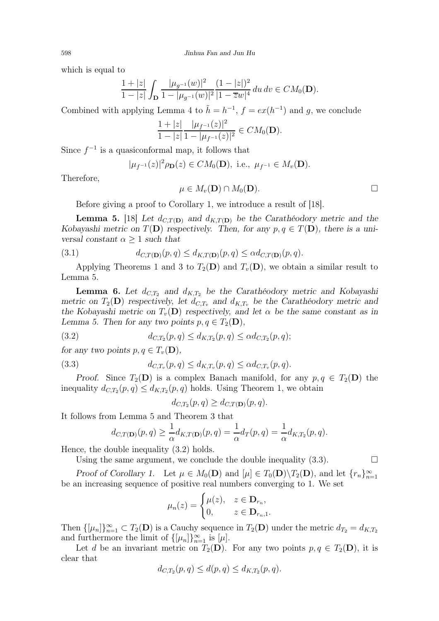which is equal to

$$
\frac{1+|z|}{1-|z|} \int_{\mathbf{D}} \frac{|\mu_{g^{-1}}(w)|^2}{1-|\mu_{g^{-1}}(w)|^2} \frac{(1-|z|)^2}{|1-\overline{z}w|^4} du dv \in CM_0(\mathbf{D}).
$$

Combined with applying Lemma 4 to  $\tilde{h} = h^{-1}$ ,  $f = ex(h^{-1})$  and g, we conclude

$$
\frac{1+|z|}{1-|z|}\frac{|\mu_{f^{-1}}(z)|^2}{1-|\mu_{f^{-1}}(z)|^2}\in CM_0(\mathbf{D}).
$$

Since  $f^{-1}$  is a quasiconformal map, it follows that

$$
|\mu_{f^{-1}}(z)|^2 \rho_{\mathbf{D}}(z) \in CM_0(\mathbf{D}), \text{ i.e., } \mu_{f^{-1}} \in M_v(\mathbf{D}).
$$

Therefore,

$$
\mu \in M_v(\mathbf{D}) \cap M_0(\mathbf{D}).
$$

Before giving a proof to Corollary 1, we introduce a result of [18].

**Lemma 5.** [18] Let  $d_{C,T(D)}$  and  $d_{K,T(D)}$  be the Caratheodory metric and the Kobayashi metric on  $T(\mathbf{D})$  respectively. Then, for any  $p, q \in T(\mathbf{D})$ , there is a universal constant  $\alpha \geq 1$  such that

(3.1) 
$$
d_{C,T(\mathbf{D})}(p,q) \leq d_{K,T(\mathbf{D})}(p,q) \leq \alpha d_{C,T(\mathbf{D})}(p,q).
$$

Applying Theorems 1 and 3 to  $T_2(D)$  and  $T_v(D)$ , we obtain a similar result to Lemma 5.

**Lemma 6.** Let  $d_{C,T_2}$  and  $d_{K,T_2}$  be the Caratheodory metric and Kobayashi metric on  $T_2(D)$  respectively, let  $d_{C,T_v}$  and  $d_{K,T_v}$  be the Carathéodory metric and the Kobayashi metric on  $T_v(\mathbf{D})$  respectively, and let  $\alpha$  be the same constant as in Lemma 5. Then for any two points  $p, q \in T_2(\mathbf{D}),$ 

(3.2) 
$$
d_{C,T_2}(p,q) \leq d_{K,T_2}(p,q) \leq \alpha d_{C,T_2}(p,q);
$$

for any two points  $p, q \in T_v(\mathbf{D}),$ 

(3.3) 
$$
d_{C,T_v}(p,q) \leq d_{K,T_v}(p,q) \leq \alpha d_{C,T_v}(p,q).
$$

Proof. Since  $T_2(D)$  is a complex Banach manifold, for any  $p, q \in T_2(D)$  the inequality  $d_{C,T_2}(p,q) \leq d_{K,T_2}(p,q)$  holds. Using Theorem 1, we obtain

$$
d_{C,T_2}(p,q) \geq d_{C,T(\mathbf{D})}(p,q).
$$

It follows from Lemma 5 and Theorem 3 that

$$
d_{C,T(\mathbf{D})}(p,q) \geq \frac{1}{\alpha} d_{K,T(\mathbf{D})}(p,q) = \frac{1}{\alpha} d_T(p,q) = \frac{1}{\alpha} d_{K,T_2}(p,q).
$$

Hence, the double inequality (3.2) holds.

Using the same argument, we conclude the double inequality  $(3.3)$ .

Proof of Corollary 1. Let  $\mu \in M_0(\mathbf{D})$  and  $[\mu] \in T_0(\mathbf{D}) \setminus T_2(\mathbf{D})$ , and let  $\{r_n\}_{n=1}^{\infty}$ be an increasing sequence of positive real numbers converging to 1. We set

$$
\mu_n(z) = \begin{cases} \mu(z), & z \in \mathbf{D}_{r_n}, \\ 0, & z \in \mathbf{D}_{r_n,1}. \end{cases}
$$

Then  $\{[\mu_n]\}_{n=1}^{\infty} \subset T_2(D)$  is a Cauchy sequence in  $T_2(D)$  under the metric  $d_{T_2} = d_{K,T_2}$ and furthermore the limit of  $\{\mu_n\}_{n=1}^{\infty}$  is  $[\mu]$ .

Let d be an invariant metric on  $T_2(D)$ . For any two points  $p, q \in T_2(D)$ , it is clear that

$$
d_{C,T_2}(p,q) \le d(p,q) \le d_{K,T_2}(p,q).
$$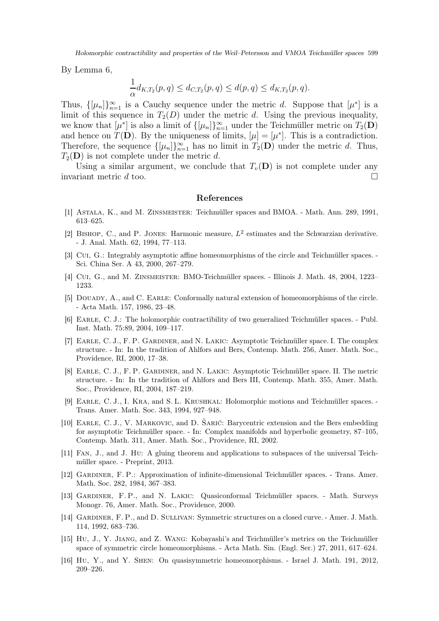Holomorphic contractibility and properties of the Weil–Petersson and VMOA Teichmüller spaces 599

By Lemma 6,

$$
\frac{1}{\alpha}d_{K,T_2}(p,q) \leq d_{C,T_2}(p,q) \leq d(p,q) \leq d_{K,T_2}(p,q).
$$

Thus,  $\{[\mu_n]\}_{n=1}^{\infty}$  is a Cauchy sequence under the metric d. Suppose that  $[\mu^*]$  is a limit of this sequence in  $T_2(D)$  under the metric d. Using the previous inequality, we know that  $[\mu^*]$  is also a limit of  $\{[\mu_n]\}_{n=1}^{\infty}$  under the Teichmüller metric on  $T_2(\mathbf{D})$ and hence on  $\overline{T}(\mathbf{D})$ . By the uniqueness of limits,  $[\mu] = [\mu^*]$ . This is a contradiction. Therefore, the sequence  $\{\mu_n\}_{n=1}^{\infty}$  has no limit in  $T_2(\mathbf{D})$  under the metric d. Thus,  $T_2(D)$  is not complete under the metric d.

Using a similar argument, we conclude that  $T_n(\mathbf{D})$  is not complete under any invariant metric  $d$  too.

#### References

- [1] Astala, K., and M. Zinsmeister: Teichmüller spaces and BMOA. Math. Ann. 289, 1991, 613–625.
- [2] BISHOP, C., and P. JONES: Harmonic measure,  $L^2$  estimates and the Schwarzian derivative. - J. Anal. Math. 62, 1994, 77–113.
- [3] Cui, G.: Integrably asymptotic affine homeomorphisms of the circle and Teichmüller spaces. Sci. China Ser. A 43, 2000, 267–279.
- [4] Cui, G., and M. Zinsmeister: BMO-Teichmüller spaces. Illinois J. Math. 48, 2004, 1223– 1233.
- [5] DOUADY, A., and C. EARLE: Conformally natural extension of homeomorphisms of the circle. - Acta Math. 157, 1986, 23–48.
- [6] Earle, C. J.: The holomorphic contractibility of two generalized Teichmüller spaces. Publ. Inst. Math. 75:89, 2004, 109–117.
- [7] EARLE, C. J., F. P. GARDINER, and N. LAKIC: Asymptotic Teichmüller space. I. The complex structure. - In: In the tradition of Ahlfors and Bers, Contemp. Math. 256, Amer. Math. Soc., Providence, RI, 2000, 17–38.
- [8] Earle, C. J., F. P. Gardiner, and N. Lakic: Asymptotic Teichmüller space. II. The metric structure. - In: In the tradition of Ahlfors and Bers III, Contemp. Math. 355, Amer. Math. Soc., Providence, RI, 2004, 187–219.
- [9] Earle, C. J., I. Kra, and S. L. Krushkal: Holomorphic motions and Teichmüller spaces. Trans. Amer. Math. Soc. 343, 1994, 927–948.
- [10] Earle, C. J., V. Markovic, and D. Šarić: Barycentric extension and the Bers embedding for asymptotic Teichmüller space. - In: Complex manifolds and hyperbolic geometry, 87–105, Contemp. Math. 311, Amer. Math. Soc., Providence, RI, 2002.
- [11] Fan, J., and J. Hu: A gluing theorem and applications to subspaces of the universal Teichmüller space. - Preprint, 2013.
- [12] Gardiner, F. P.: Approximation of infinite-dimensional Teichmüller spaces. Trans. Amer. Math. Soc. 282, 1984, 367–383.
- [13] Gardiner, F. P., and N. Lakic: Quasiconformal Teichmüller spaces. Math. Surveys Monogr. 76, Amer. Math. Soc., Providence, 2000.
- [14] GARDINER, F. P., and D. SULLIVAN: Symmetric structures on a closed curve. Amer. J. Math. 114, 1992, 683–736.
- [15] Hu, J., Y. Jiang, and Z. Wang: Kobayashi's and Teichmüller's metrics on the Teichmüller space of symmetric circle homeomorphisms. - Acta Math. Sin. (Engl. Ser.) 27, 2011, 617–624.
- [16] Hu, Y., and Y. Shen: On quasisymmetric homeomorphisms. Israel J. Math. 191, 2012, 209–226.